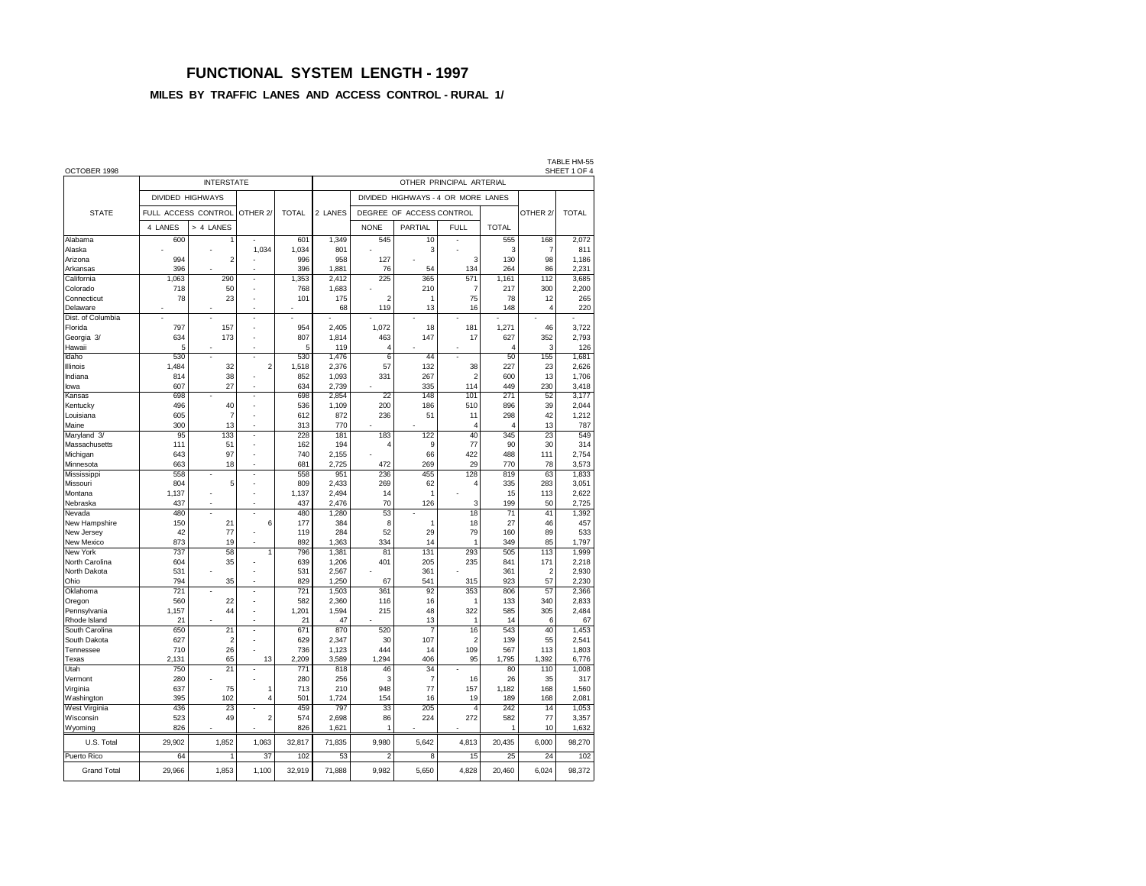### **FUNCTIONAL SYSTEM LENGTH - 1997**

### **MILES BY TRAFFIC LANES AND ACCESS CONTROL - RURAL 1/**

| OCTOBER 1998                  |         |                     |                          |              |                          |                |                                    |                 |                 |                    | TABLE HM-55<br>SHEET 1 OF 4 |  |  |  |
|-------------------------------|---------|---------------------|--------------------------|--------------|--------------------------|----------------|------------------------------------|-----------------|-----------------|--------------------|-----------------------------|--|--|--|
|                               |         | <b>INTERSTATE</b>   |                          |              | OTHER PRINCIPAL ARTERIAL |                |                                    |                 |                 |                    |                             |  |  |  |
|                               |         | DIVIDED HIGHWAYS    |                          |              |                          |                | DIVIDED HIGHWAYS - 4 OR MORE LANES |                 |                 |                    |                             |  |  |  |
| <b>STATE</b>                  |         | FULL ACCESS CONTROL | OTHER <sub>2</sub>       | <b>TOTAL</b> | 2 LANES                  |                | DEGREE OF ACCESS CONTROL           |                 |                 | OTHER <sub>2</sub> | <b>TOTAL</b>                |  |  |  |
|                               | 4 LANES | > 4 LANES           |                          |              |                          | <b>NONE</b>    | PARTIAL                            | <b>FULL</b>     | <b>TOTAL</b>    |                    |                             |  |  |  |
| Alabama                       | 600     | 1                   |                          | 601          | 1,349                    | 545            | 10                                 |                 | 555             | 168                | 2,072                       |  |  |  |
| Alaska                        |         |                     | 1,034                    | 1,034        | 801                      |                | 3                                  |                 | 3               | $\overline{7}$     | 811                         |  |  |  |
| Arizona                       | 994     | $\overline{2}$      |                          | 996          | 958                      | 127            |                                    | 3               | 130             | 98                 | 1,186                       |  |  |  |
| Arkansas                      | 396     |                     |                          | 396          | 1,881                    | 76             | 54                                 | 134             | 264             | 86                 | 2,231                       |  |  |  |
| California                    | 1,063   | 290                 | $\overline{a}$           | 1,353        | 2,412                    | 225            | 365                                | 571             | 1,161           | 112                | 3,685                       |  |  |  |
| Colorado                      | 718     | 50                  | L.                       | 768          | 1,683                    | $\overline{2}$ | 210<br>1                           | $\overline{7}$  | 217             | 300                | 2,200                       |  |  |  |
| Connecticut                   | 78      | 23                  | ÷.                       | 101          | 175<br>68                | 119            | 13                                 | 75<br>16        | 78<br>148       | 12<br>4            | 265<br>220                  |  |  |  |
| Delaware<br>Dist. of Columbia |         |                     | J.                       |              |                          |                |                                    |                 |                 |                    |                             |  |  |  |
| Florida                       | 797     | 157                 |                          | 954          | 2.405                    | 1.072          | 18                                 | 181             | 1.271           | 46                 | 3.722                       |  |  |  |
| Georgia 3/                    | 634     | 173                 | L.                       | 807          | 1.814                    | 463            | 147                                | 17              | 627             | 352                | 2.793                       |  |  |  |
| Hawaii                        | 5       |                     | J.                       | 5            | 119                      | 4              |                                    |                 | 4               | 3                  | 126                         |  |  |  |
| Idaho                         | 530     |                     |                          | 530          | 1,476                    | $\overline{6}$ | 44                                 |                 | 50              | 155                | 1,681                       |  |  |  |
| Illinois                      | 1,484   | 32                  | $\overline{c}$           | 1,518        | 2,376                    | 57             | 132                                | 38              | 227             | 23                 | 2,626                       |  |  |  |
| Indiana                       | 814     | 38                  |                          | 852          | 1,093                    | 331            | 267                                | $\overline{a}$  | 600             | 13                 | 1,706                       |  |  |  |
| lowa                          | 607     | 27                  | ÷,                       | 634          | 2,739                    |                | 335                                | 114             | 449             | 230                | 3,418                       |  |  |  |
| Kansas                        | 698     |                     | ÷,                       | 698          | 2,854                    | 22             | 148                                | 101             | 271             | 52                 | 3,177                       |  |  |  |
| Kentucky                      | 496     | 40                  | ÷,                       | 536          | 1,109                    | 200            | 186                                | 510             | 896             | 39                 | 2,044                       |  |  |  |
| Louisiana                     | 605     | 7                   | $\overline{a}$           | 612          | 872                      | 236            | 51                                 | 11              | 298             | 42                 | 1,212                       |  |  |  |
| Maine                         | 300     | 13                  |                          | 313          | 770                      |                |                                    | $\overline{4}$  | $\Delta$        | 13                 | 787                         |  |  |  |
| Maryland 3/                   | 95      | 133                 |                          | 228          | 181                      | 183            | 122                                | 40              | 345             | 23                 | 549                         |  |  |  |
| Massachusetts                 | 111     | 51                  | Ĭ.                       | 162          | 194                      | 4              | 9                                  | 77              | 90              | 30                 | 314                         |  |  |  |
| Michigan                      | 643     | 97                  | L.                       | 740          | 2,155                    |                | 66                                 | 422             | 488             | 111                | 2,754                       |  |  |  |
| Minnesota                     | 663     | 18                  | ÷                        | 681          | 2,725                    | 472            | 269                                | 29              | 770             | 78                 | 3,573                       |  |  |  |
| Mississippi                   | 558     | ÷,                  | $\overline{a}$           | 558          | 951                      | 236            | 455                                | 128             | 819             | 63                 | 1,833                       |  |  |  |
| Missouri                      | 804     | 5                   | Ĭ.                       | 809          | 2,433                    | 269            | 62                                 | 4               | 335             | 283                | 3,051                       |  |  |  |
| Montana                       | 1,137   |                     |                          | 1,137        | 2,494                    | 14             | $\mathbf{1}$                       |                 | 15              | 113                | 2,622                       |  |  |  |
| Nebraska                      | 437     | J.                  | J.                       | 437          | 2,476                    | 70             | 126                                | 3               | 199             | 50                 | 2,725                       |  |  |  |
| Nevada                        | 480     |                     | $\overline{\phantom{a}}$ | 480          | 1,280                    | 53             |                                    | $\overline{18}$ | $\overline{71}$ | 41                 | 1,392                       |  |  |  |
| New Hampshire                 | 150     | 21                  | 6                        | 177          | 384                      | 8              | 1                                  | 18              | 27              | 46                 | 457                         |  |  |  |
| New Jersey                    | 42      | 77                  |                          | 119          | 284                      | 52             | 29                                 | 79              | 160             | 89                 | 533                         |  |  |  |
| <b>New Mexico</b>             | 873     | 19                  |                          | 892          | 1.363                    | 334            | 14                                 | 1               | 349             | 85                 | 1.797                       |  |  |  |
| New York                      | 737     | 58                  | 1                        | 796          | 1,381                    | 81             | 131                                | 293             | 505             | 113                | 1,999                       |  |  |  |
| North Carolina                | 604     | 35                  | L.                       | 639          | 1,206                    | 401            | 205                                | 235             | 841             | 171                | 2,218                       |  |  |  |
| North Dakota                  | 531     |                     |                          | 531          | 2.567                    |                | 361                                |                 | 361             | $\overline{2}$     | 2.930                       |  |  |  |
| Ohio                          | 794     | 35                  | J.                       | 829          | 1,250                    | 67             | 541                                | 315             | 923             | 57                 | 2,230                       |  |  |  |
| Oklahoma                      | 721     |                     | ÷,                       | 721          | 1,503                    | 361            | 92                                 | 353             | 806             | 57                 | 2,366                       |  |  |  |
| Oregon                        | 560     | 22                  | Ĭ.                       | 582          | 2,360                    | 116            | 16                                 | $\mathbf{1}$    | 133             | 340                | 2,833                       |  |  |  |
| Pennsylvania                  | 1,157   | 44                  | Ĭ.                       | 1,201        | 1,594                    | 215            | 48                                 | 322             | 585             | 305                | 2,484                       |  |  |  |
| Rhode Island                  | 21      |                     |                          | 21           | 47                       |                | 13                                 | 1               | 14              | 6                  | 67                          |  |  |  |
| South Carolina                | 650     | 21                  | $\overline{\phantom{a}}$ | 671          | 870                      | 520            | $\overline{7}$                     | 16              | 543             | 40                 | 1,453                       |  |  |  |
| South Dakota                  | 627     | 2                   | Ĭ.                       | 629          | 2,347                    | 30             | 107                                | $\overline{a}$  | 139             | 55                 | 2,541                       |  |  |  |
| Tennessee                     | 710     | 26                  |                          | 736          | 1.123                    | 444            | 14                                 | 109             | 567             | 113                | 1,803                       |  |  |  |
| Texas                         | 2,131   | 65                  | 13                       | 2.209        | 3,589                    | 1,294          | 406                                | 95              | 1,795           | 1.392              | 6,776                       |  |  |  |
| Utah                          | 750     | $\overline{21}$     | J,                       | 771          | 818                      | 46             | 34                                 |                 | 80              | 110                | 1,008                       |  |  |  |
| Vermont                       | 280     |                     |                          | 280          | 256                      | 3              | $\overline{7}$                     | 16              | 26              | 35                 | 317                         |  |  |  |
| Virginia                      | 637     | 75                  | 1                        | 713          | 210                      | 948            | 77                                 | 157             | 1,182           | 168                | 1,560                       |  |  |  |
| Washington                    | 395     | 102                 | 4                        | 501          | 1,724                    | 154            | 16                                 | 19              | 189             | 168                | 2,081                       |  |  |  |
| West Virginia                 | 436     | 23                  |                          | 459          | 797                      | 33             | 205                                | 4               | 242             | 14                 | 1,053                       |  |  |  |
| Wisconsin                     | 523     | 49                  | $\overline{c}$           | 574          | 2,698                    | 86             | 224                                | 272             | 582             | 77                 | 3,357                       |  |  |  |
| Wyoming                       | 826     |                     |                          | 826          | 1,621                    | 1              |                                    |                 | 1               | 10                 | 1,632                       |  |  |  |
| U.S. Total                    | 29,902  | 1,852               | 1,063                    | 32,817       | 71,835                   | 9,980          | 5,642                              | 4,813           | 20,435          | 6,000              | 98,270                      |  |  |  |
| Puerto Rico                   | 64      | 1                   | 37                       | 102          | 53                       | $\overline{2}$ | 8                                  | 15              | $\overline{25}$ | 24                 | 102                         |  |  |  |
| <b>Grand Total</b>            | 29,966  | 1,853               | 1,100                    | 32,919       | 71,888                   | 9,982          | 5,650                              | 4,828           | 20,460          | 6,024              | 98,372                      |  |  |  |
|                               |         |                     |                          |              |                          |                |                                    |                 |                 |                    |                             |  |  |  |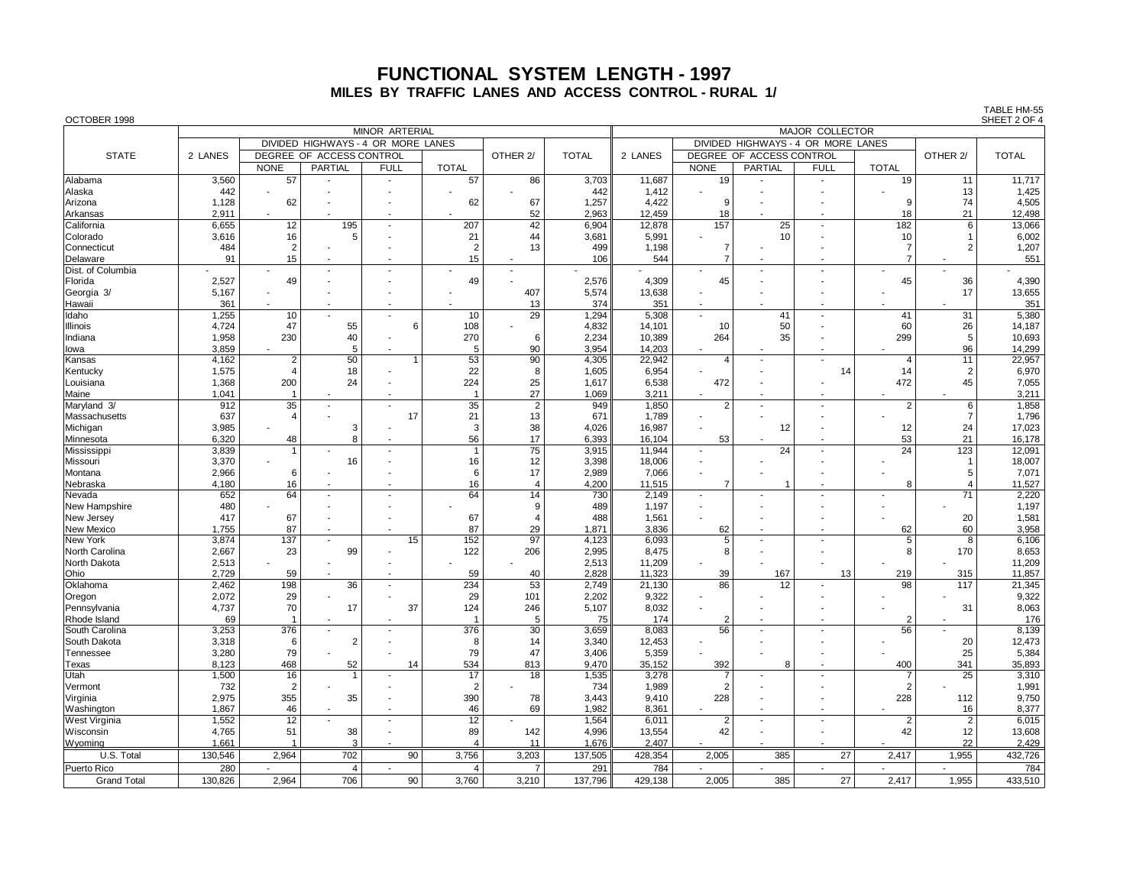# **FUNCTIONAL SYSTEM LENGTH - 1997 MILES BY TRAFFIC LANES AND ACCESS CONTROL - RURAL 1/**

| OCTOBER 1998         |              |                |                                    |                          |                |                          |                                                              |         |                          |                          |                          |                |                | SHEET 2 OF 4 |  |  |
|----------------------|--------------|----------------|------------------------------------|--------------------------|----------------|--------------------------|--------------------------------------------------------------|---------|--------------------------|--------------------------|--------------------------|----------------|----------------|--------------|--|--|
|                      |              |                |                                    | <b>MINOR ARTERIAL</b>    |                |                          | <b>MAJOR COLLECTOR</b><br>DIVIDED HIGHWAYS - 4 OR MORE LANES |         |                          |                          |                          |                |                |              |  |  |
|                      |              |                | DIVIDED HIGHWAYS - 4 OR MORE LANES |                          |                |                          |                                                              |         |                          |                          |                          |                |                |              |  |  |
| <b>STATE</b>         | 2 LANES      |                | DEGREE OF ACCESS CONTROL           |                          |                | OTHER 2/                 | <b>TOTAL</b>                                                 | 2 LANES |                          | DEGREE OF ACCESS CONTROL |                          |                | OTHER 2/       | <b>TOTAL</b> |  |  |
|                      |              | <b>NONE</b>    | PARTIAL                            | <b>FULL</b>              | <b>TOTAL</b>   |                          |                                                              |         | <b>NONE</b>              | <b>PARTIAL</b>           | <b>FULL</b>              | <b>TOTAL</b>   |                |              |  |  |
| Alabama              | 3,560        | 57             |                                    |                          | 57             | 86                       | 3,703                                                        | 11,687  | 19                       |                          | $\overline{\phantom{a}}$ | 19             | 11             | 11,717       |  |  |
| Alaska               | 442          |                |                                    |                          |                |                          | 442                                                          | 1,412   |                          |                          |                          |                | 13             | 1,425        |  |  |
| Arizona              | 1,128        | 62             |                                    |                          | 62             | 67                       | 1,257                                                        | 4,422   | 9                        |                          |                          | 9              | 74             | 4,505        |  |  |
| Arkansas             | 2,911        |                |                                    |                          |                | 52                       | 2,963                                                        | 12,459  | 18                       |                          |                          | 18             | 21             | 12,498       |  |  |
| California           | 6,655        | 12             | 195                                | $\blacksquare$           | 207            | 42                       | 6,904                                                        | 12,878  | 157                      | 25                       | $\overline{\phantom{a}}$ | 182            | 6              | 13,066       |  |  |
| Colorado             | 3,616        | 16             | 5                                  |                          | 21             | 44                       | 3,681                                                        | 5,991   |                          | 10                       |                          | 10             |                | 6,002        |  |  |
| Connecticut          | 484          | $\overline{2}$ |                                    |                          | $\overline{2}$ | 13                       | 499                                                          | 1,198   | $\overline{7}$           |                          |                          | $\overline{7}$ | $\mathcal{P}$  | 1,207        |  |  |
| Delaware             | 91           | 15             |                                    |                          | 15             |                          | 106                                                          | 544     | 7                        |                          |                          | $\overline{7}$ |                | 551          |  |  |
| Dist. of Columbia    |              |                | $\sim$                             |                          |                |                          |                                                              |         | $\sim$                   |                          |                          |                |                |              |  |  |
| Florida              | 2,527        | 49             |                                    |                          | 49             |                          | 2,576                                                        | 4,309   | 45                       |                          |                          | 45             | 36             | 4,390        |  |  |
|                      |              |                |                                    |                          |                |                          |                                                              | 13,638  |                          |                          |                          |                | 17             | 13,655       |  |  |
| Georgia 3/           | 5,167<br>361 |                |                                    |                          |                | 407                      | 5,574<br>374                                                 | 351     |                          |                          |                          |                |                | 351          |  |  |
| Hawaii               |              |                |                                    |                          |                | 13                       |                                                              |         |                          |                          |                          |                |                |              |  |  |
| Idaho                | 1,255        | 10             |                                    |                          | 10             | 29                       | 1,294                                                        | 5,308   | ÷,                       | 41                       |                          | 41             | 31             | 5,380        |  |  |
| Illinois             | 4,724        | 47             | 55                                 | 6                        | 108            |                          | 4,832                                                        | 14,101  | 10                       | 50                       |                          | 60             | 26             | 14,187       |  |  |
| Indiana              | 1,958        | 230            | 40                                 |                          | 270            | 6                        | 2,234                                                        | 10,389  | 264                      | 35                       |                          | 299            | 5              | 10,693       |  |  |
| lowa                 | 3,859        |                | 5                                  |                          | 5              | 90                       | 3,954                                                        | 14,203  | $\overline{\phantom{a}}$ |                          |                          |                | 96             | 14,299       |  |  |
| Kansas               | 4,162        | $\overline{2}$ | 50                                 |                          | 53             | 90                       | 4,305                                                        | 22,942  | $\overline{4}$           | $\overline{a}$           |                          | $\overline{4}$ | 11             | 22,957       |  |  |
| Kentucky             | 1,575        | $\overline{4}$ | 18                                 |                          | 22             | 8                        | 1,605                                                        | 6,954   |                          |                          | 14                       | 14             | $\overline{2}$ | 6,970        |  |  |
| Louisiana            | 1,368        | 200            | 24                                 |                          | 224            | 25                       | 1,617                                                        | 6,538   | 472                      |                          |                          | 472            | 45             | 7,055        |  |  |
| Maine                | 1,041        | -1             |                                    |                          | $\overline{1}$ | 27                       | 1,069                                                        | 3,211   | $\overline{\phantom{a}}$ |                          |                          |                |                | 3,211        |  |  |
| Maryland 3/          | 912          | 35             |                                    |                          | 35             | $\overline{2}$           | 949                                                          | 1,850   | $\overline{2}$           |                          |                          | $\overline{2}$ | 6              | 1,858        |  |  |
| Massachusetts        | 637          | $\overline{4}$ |                                    | 17                       | 21             | 13                       | 671                                                          | 1,789   | $\overline{\phantom{a}}$ |                          |                          |                | 7              | 1,796        |  |  |
| Michigan             | 3,985        |                | 3                                  |                          | $\mathbf{3}$   | 38                       | 4,026                                                        | 16,987  | $\overline{\phantom{a}}$ | 12                       |                          | 12             | 24             | 17,023       |  |  |
| Minnesota            | 6,320        | 48             | 8                                  |                          | 56             | 17                       | 6,393                                                        | 16,104  | 53                       |                          |                          | 53             | 21             | 16,178       |  |  |
| Mississippi          | 3,839        |                |                                    |                          | $\overline{1}$ | $\overline{75}$          | 3,915                                                        | 11,944  | $\overline{a}$           | 24                       |                          | 24             | 123            | 12,091       |  |  |
| Missouri             | 3,370        |                | 16                                 |                          | 16             | 12                       | 3.398                                                        | 18,006  | $\overline{\phantom{a}}$ |                          |                          |                | -1             | 18,007       |  |  |
| Montana              | 2,966        | 6              |                                    |                          | 6              | 17                       | 2,989                                                        | 7,066   | $\ddot{\phantom{1}}$     |                          |                          |                | 5              | 7,071        |  |  |
| Nebraska             | 4,180        | 16             |                                    |                          | 16             | $\overline{4}$           | 4,200                                                        | 11,515  | $\overline{7}$           |                          |                          | 8              | $\overline{4}$ | 11,527       |  |  |
| Nevada               | 652          | 64             |                                    |                          | 64             | 14                       | 730                                                          | 2,149   | $\overline{a}$           |                          |                          |                | 71             | 2,220        |  |  |
| New Hampshire        | 480          |                |                                    |                          |                | 9                        | 489                                                          | 1,197   |                          |                          |                          |                |                | 1,197        |  |  |
| New Jersey           | 417          | 67             |                                    |                          | 67             | $\overline{\mathcal{L}}$ | 488                                                          | 1,561   |                          |                          |                          |                | 20             | 1,581        |  |  |
| New Mexico           | 1,755        | 87             |                                    |                          | 87             | 29                       | 1,871                                                        | 3,836   | 62                       |                          |                          | 62             | 60             | 3,958        |  |  |
| New York             | 3,874        | 137            |                                    | 15                       | 152            | 97                       | 4,123                                                        | 6,093   | 5                        |                          |                          | 5              | 8              | 6,106        |  |  |
| North Carolina       | 2,667        | 23             | 99                                 |                          | 122            | 206                      | 2,995                                                        | 8,475   | 8                        |                          |                          | 8              | 170            | 8,653        |  |  |
| North Dakota         | 2,513        |                |                                    |                          |                |                          | 2,513                                                        | 11,209  |                          |                          |                          |                |                | 11,209       |  |  |
| Ohio                 | 2,729        | 59             |                                    |                          | 59             | 40                       | 2,828                                                        | 11,323  | 39                       | 167                      | 13                       | 219            | 315            | 11,857       |  |  |
| Oklahoma             | 2,462        | 198            | 36                                 |                          | 234            | 53                       | 2,749                                                        | 21,130  | 86                       | 12                       |                          | 98             | 117            | 21,345       |  |  |
| Oregon               | 2,072        | 29             |                                    |                          | 29             | 101                      | 2,202                                                        | 9,322   |                          |                          |                          |                |                | 9,322        |  |  |
| Pennsylvania         | 4,737        | 70             | 17                                 | 37                       | 124            | 246                      | 5,107                                                        | 8,032   |                          |                          |                          |                | 31             | 8,063        |  |  |
| Rhode Island         | 69           | $\overline{1}$ |                                    |                          | $\overline{1}$ | 5                        | 75                                                           | 174     | $\overline{2}$           |                          |                          | $\overline{2}$ |                | 176          |  |  |
| South Carolina       | 3,253        | 376            |                                    |                          | 376            | 30                       | 3,659                                                        | 8,083   | 56                       |                          |                          | 56             |                | 8,139        |  |  |
| South Dakota         | 3,318        | 6              | $\overline{2}$                     |                          | 8              | 14                       | 3,340                                                        | 12,453  |                          |                          |                          |                | 20             | 12,473       |  |  |
| Tennessee            | 3,280        | 79             |                                    |                          | 79             | 47                       | 3,406                                                        | 5,359   |                          |                          |                          |                | 25             | 5,384        |  |  |
| Texas                | 8,123        | 468            | 52                                 | 14                       | 534            | 813                      | 9,470                                                        | 35,152  | 392                      | 8                        |                          | 400            | 341            | 35,893       |  |  |
| Utah                 | 1,500        | 16             | 1                                  |                          | 17             | 18                       | 1,535                                                        | 3,278   | -7                       |                          |                          | 7              | 25             | 3,310        |  |  |
| Vermont              | 732          | $\overline{2}$ |                                    |                          | $\overline{2}$ |                          | 734                                                          | 1,989   | $\overline{2}$           |                          |                          | $\overline{2}$ |                | 1,991        |  |  |
| Virginia             | 2,975        | 355            | 35                                 |                          | 390            | 78                       | 3.443                                                        | 9.410   | 228                      |                          |                          | 228            | 112            | 9,750        |  |  |
| Washington           | 1,867        | 46             |                                    |                          | 46             | 69                       | 1,982                                                        | 8,361   | ÷,                       |                          |                          |                | 16             | 8,377        |  |  |
| <b>West Virginia</b> | 1,552        | 12             |                                    | $\overline{\phantom{a}}$ | 12             |                          | 1.564                                                        | 6,011   | $\overline{2}$           | $\sim$                   | $\overline{\phantom{a}}$ | $\overline{2}$ | $\overline{2}$ | 6,015        |  |  |
| Wisconsin            | 4,765        | 51             | 38                                 |                          | 89             | 142                      | 4,996                                                        | 13,554  | 42                       |                          |                          | 42             | 12             | 13,608       |  |  |
|                      | 1,661        | $\overline{1}$ | 3                                  |                          | $\overline{4}$ | 11                       | 1,676                                                        | 2,407   |                          |                          |                          |                | 22             | 2,429        |  |  |
| Wyoming              |              |                |                                    |                          |                |                          |                                                              |         |                          |                          | 27                       |                |                |              |  |  |
| U.S. Total           | 130,546      | 2,964          | 702                                | 90                       | 3,756          | 3,203                    | 137,505                                                      | 428,354 | 2,005                    | 385                      |                          | 2,417          | 1,955          | 432,726      |  |  |
| Puerto Rico          | 280          |                | $\overline{4}$                     |                          | $\overline{4}$ | $\overline{7}$           | 291                                                          | 784     |                          |                          | $\overline{\phantom{a}}$ |                |                | 784          |  |  |
| <b>Grand Total</b>   | 130.826      | 2.964          | 706                                | 90                       | 3.760          | 3,210                    | 137,796                                                      | 429.138 | 2.005                    | 385                      | 27                       | 2.417          | 1.955          | 433.510      |  |  |

TABLE HM-55<br>SHEFT 2 OF 4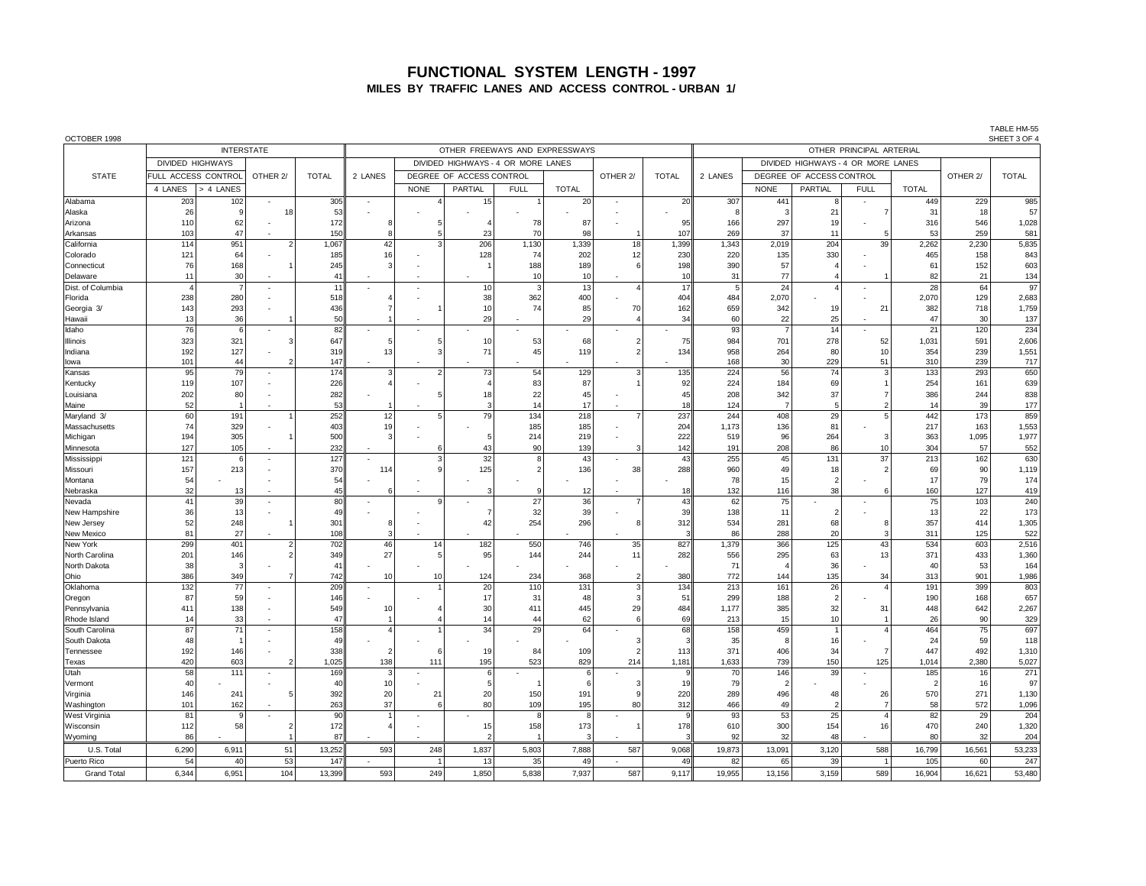#### **FUNCTIONAL SYSTEM LENGTH - 1997 MILES BY TRAFFIC LANES AND ACCESS CONTROL - URBAN 1/**

| OCTOBER 1998             |                         |                   |                          |              |                          |                          |                                    |                |              |                |                          |              |                                    |                        |                          |               |            | SHEET 3 OF 4   |
|--------------------------|-------------------------|-------------------|--------------------------|--------------|--------------------------|--------------------------|------------------------------------|----------------|--------------|----------------|--------------------------|--------------|------------------------------------|------------------------|--------------------------|---------------|------------|----------------|
|                          |                         | <b>INTERSTATE</b> |                          |              |                          |                          | OTHER FREEWAYS AND EXPRESSWAYS     |                |              |                | OTHER PRINCIPAL ARTERIAL |              |                                    |                        |                          |               |            |                |
|                          | <b>DIVIDED HIGHWAYS</b> |                   |                          |              |                          |                          | DIVIDED HIGHWAYS - 4 OR MORE LANES |                |              |                |                          |              | DIVIDED HIGHWAYS - 4 OR MORE LANES |                        |                          |               |            |                |
| <b>STATE</b>             | FULL ACCESS CONTROL     |                   | OTHER <sub>2</sub>       | <b>TOTAL</b> | 2 LANES                  | DEGREE OF ACCESS CONTROL |                                    |                |              | OTHER 2/       | <b>TOTAL</b>             | 2 LANES      | DEGREE OF ACCESS CONTROL           |                        |                          |               | OTHER 2/   | <b>TOTAL</b>   |
|                          | 4 LANES                 | > 4 LANES         |                          |              |                          | <b>NONE</b>              | <b>PARTIAL</b>                     | <b>FULL</b>    | <b>TOTAL</b> |                |                          |              | <b>NONE</b>                        | PARTIAL                | <b>FULL</b>              | <b>TOTAL</b>  |            |                |
| Alabama                  | 203                     | 102               |                          | 305          | ÷,                       |                          | 15                                 |                | 20           |                | 20                       | 307          | 441                                | 8                      |                          | 449           | 229        | 985            |
| Alaska                   | 26                      | 9                 | 18                       | 53           |                          |                          |                                    |                |              |                |                          | 8            | ÷                                  | 21                     |                          | 31            | 18         | 57             |
| Arizona                  | 110                     | 62                |                          | 172          | 8                        |                          |                                    | 78             | 87           |                | 95                       | 166          | 297                                | 19                     |                          | 316           | 546        | 1,028          |
| Arkansas                 | 103                     | 47                |                          | 150          | 8                        |                          | 23                                 | 70             | 98           |                | 107                      | 269          | 37                                 | 11                     |                          | 53            | 259        | 581            |
| California               | 114                     | 951               | $\overline{2}$           | 1,067        | 42                       |                          | 206                                | 1,130          | 1,339        | 18             | 1,399                    | 1,343        | 2,019                              | 204                    | 39                       | 2,262         | 2,230      | 5,835          |
| Colorado<br>Connecticut  | 121<br>76               | 64<br>168         |                          | 185<br>245   | 16<br>$\mathcal{R}$      |                          | 128                                | 74<br>188      | 202<br>189   | 12<br>6        | 230<br>198               | 220<br>390   | 135<br>57                          | 330                    |                          | 465<br>61     | 158<br>152 | 843<br>603     |
| Delaware                 | 11                      | 30                |                          | 41           |                          |                          |                                    | 10             | 10           |                | 10                       | 31           | 77                                 | $\overline{4}$         |                          | 82            | 21         | 134            |
| Dist. of Columbia        | $\boldsymbol{\Lambda}$  |                   |                          | 11           |                          |                          | 10                                 | 3              | 13           | $\overline{4}$ | 17                       | 5            | 24                                 | $\boldsymbol{\Lambda}$ |                          | 28            | 64         | 97             |
| Florida                  | 238                     | 280               |                          | 518          |                          |                          | 38                                 | 362            | 400          |                | 404                      | 484          | 2,070                              |                        |                          | 2,070         | 129        | 2,683          |
| Georgia 3/               | 143                     | 293               |                          | 436          | $\overline{7}$           |                          | 10                                 | 74             | 85           | 70             | 162                      | 659          | 342                                | 19                     | 21                       | 382           | 718        | 1,759          |
| Hawaii                   | 13                      | 36                |                          | 50           |                          |                          | 29                                 |                | 29           |                | 34                       | 60           | 22                                 | 25                     |                          | 47            | 30         | 137            |
| Idaho                    | 76                      | 6                 |                          | 82           | ٠                        |                          |                                    |                |              |                |                          | 93           | 7                                  | 14                     |                          | 21            | 120        | 234            |
| Illinois                 | 323                     | 321               | 3                        | 647          | 5                        |                          | 10                                 | 53             | 68           | 2              | 75                       | 984          | 701                                | 278                    | 52                       | 1,031         | 591        | 2,606          |
| Indiana                  | 192                     | 127               |                          | 319          | 13                       |                          | 71                                 | 45             | 119          | 2              | 134                      | 958          | 264                                | 80                     | 10                       | 354           | 239        | 1,551          |
| lowa                     | 101                     | 44                | 2                        | 147          |                          |                          |                                    |                |              |                |                          | 168          | 30                                 | 229                    | 51                       | 310           | 239        | 717            |
| Kansas                   | 95                      | 79                |                          | 174          | 3                        |                          | 73                                 | 54             | 129          | 3              | 135                      | 224          | 56                                 | 74                     |                          | 133           | 293        | 650            |
| Kentucky                 | 119                     | 107               |                          | 226          |                          |                          | $\overline{4}$                     | 83             | 87           |                | 92                       | 224          | 184                                | 69                     |                          | 254           | 161        | 639            |
| Louisiana<br>Maine       | 202<br>52               | 80                |                          | 282<br>53    |                          |                          | 18<br>3                            | 22<br>14       | 45<br>17     |                | 45<br>18                 | 208<br>124   | 342<br>$\overline{7}$              | 37<br>5                |                          | 386<br>14     | 244<br>39  | 838<br>177     |
| Maryland 3/              | 60                      | 191               | 1                        | 252          | 12                       |                          | 79                                 | 134            | 218          | $\overline{7}$ | 237                      | 244          | 408                                | 29                     | $\overline{5}$           | 442           | 173        | 859            |
| Massachusetts            | 74                      | 329               |                          | 403          | 19                       |                          |                                    | 185            | 185          |                | 204                      | 1.173        | 136                                | 81                     |                          | 217           | 163        | 1,553          |
| Michigan                 | 194                     | 305               |                          | 500          | 3                        |                          | 5                                  | 214            | 219          |                | 222                      | 519          | 96                                 | 264                    |                          | 363           | 1,095      | 1,977          |
| Minnesota                | 127                     | 105               |                          | 232          |                          |                          | 43                                 | 90             | 139          |                | 142                      | 191          | 208                                | 86                     | 10                       | 304           | 57         | 552            |
| Mississipp               | 121                     | 6                 |                          | 127          | $\overline{\phantom{a}}$ |                          | 32                                 | 8              | 43           |                | 43                       | 255          | 45                                 | 131                    | 37                       | 213           | 162        | 630            |
| Missouri                 | 157                     | 213               |                          | 370          | 114                      |                          | 125                                | $\overline{2}$ | 136          | 38             | 288                      | 960          | 49                                 | 18                     |                          | 69            | 90         | 1,119          |
| Montana                  | 54                      |                   |                          | 54           |                          |                          |                                    |                |              |                |                          | 78           | 15                                 | $\overline{2}$         |                          | 17            | 79         | 174            |
| Nebraska                 | 32                      | 13                |                          | 45           | 6                        |                          | 3                                  | 9              | 12           |                | 18                       | 132          | 116                                | 38                     |                          | 160           | 127        | 419            |
| Nevada                   | 41                      | 39                |                          | 80           | ٠                        |                          |                                    | 27             | 36           |                | 43                       | 62           | 75                                 | ٠                      | $\overline{\phantom{a}}$ | 75            | 103        | 240            |
| New Hampshire            | 36<br>52                | 13                |                          | 49           | 8                        |                          | $\overline{7}$                     | 32<br>254      | 39           | 8              | 39                       | 138          | 11                                 | $\overline{2}$         |                          | 13<br>357     | 22<br>414  | 173            |
| New Jersey<br>New Mexico | 81                      | 248<br>27         |                          | 301<br>108   | 3                        |                          | 42                                 |                | 296          |                | 312                      | 534<br>86    | 281<br>288                         | 68<br>20               |                          | 311           | 125        | 1,305<br>522   |
| New York                 | 299                     | 401               | $\overline{2}$           | 702          | 46                       | 14                       | 182                                | 550            | 746          | 35             | 827                      | 1,379        | 366                                | 125                    | 43                       | 534           | 603        | 2,516          |
| North Carolina           | 201                     | 146               | $\overline{2}$           | 349          | 27                       |                          | 95                                 | 144            | 244          | 11             | 282                      | 556          | 295                                | 63                     | 13                       | 371           | 433        | 1,360          |
| North Dakota             | 38                      | -3                |                          | 41           |                          |                          |                                    |                |              |                |                          | 71           |                                    | 36                     |                          | 40            | 53         | 164            |
| Ohio                     | 386                     | 349               | 7                        | 742          | 10                       | 10                       | 124                                | 234            | 368          |                | 380                      | 772          | 144                                | 135                    | 34                       | 313           | 901        | 1,986          |
| Oklahoma                 | 132                     | 77                |                          | 209          |                          |                          | 20                                 | 110            | 131          | 3              | 134                      | 213          | 161                                | 26                     |                          | 191           | 399        | 803            |
| Oregon                   | 87                      | 59                |                          | 146          |                          |                          | 17                                 | 31             | 48           | з              | 51                       | 299          | 188                                | $\overline{2}$         |                          | 190           | 168        | 657            |
| Pennsylvania             | 411                     | 138               |                          | 549          | 10                       |                          | 30                                 | 411            | 445          | 29             | 484                      | 1,177        | 385                                | 32                     | 31                       | 448           | 642        | 2,267          |
| Rhode Island             | 14                      | 33                |                          | 47           |                          |                          | 14                                 | 44             | 62           | 6              | 69                       | 213          | 15                                 | 10                     |                          | 26            | 90         | 329            |
| South Carolina           | 87                      | 71                |                          | 158          | $\boldsymbol{\Delta}$    |                          | 34                                 | 29             | 64           |                | 68                       | 158          | 459                                |                        | $\boldsymbol{\Lambda}$   | 464           | 75         | 697            |
| South Dakota             | 48                      | 146               |                          | 49           | $\overline{2}$           |                          |                                    |                |              | 3              | p<br>113                 | 35           | ۶                                  | 16                     |                          | 24<br>447     | 59<br>492  | 118            |
| Tennessee                | 192<br>420              | 603               | 2                        | 338<br>1,025 | 138                      | 111                      | 19<br>195                          | 84<br>523      | 109<br>829   | 214            | 1,181                    | 371<br>1,633 | 406<br>739                         | 34<br>150              | 125                      | 1,014         | 2,380      | 1,310<br>5,027 |
| Texas<br>Utah            | 58                      | 111               |                          | 169          | 3                        |                          | 6                                  |                | 6            |                | q                        | 70           | 146                                | 39                     | ÷,                       | 185           | 16         | 271            |
| Vermont                  | 40                      |                   |                          | 40           | 10 <sup>1</sup>          |                          | 5                                  |                | 6            | з              | 19                       | 79           | 2                                  |                        |                          | $\mathcal{P}$ | 16         | 97             |
| Virginia                 | 146                     | 241               | 5                        | 392          | 20                       | 21                       | 20                                 | 150            | 191          | $\mathbf{Q}$   | 220                      | 289          | 496                                | 48                     | 26                       | 570           | 271        | 1,130          |
| Washington               | 101                     | 162               |                          | 263          | 37                       |                          | 80                                 | 109            | 195          | 80             | 312                      | 466          | 49                                 |                        |                          | 58            | 572        | 1,096          |
| <b>West Virginia</b>     | 81                      | 9                 |                          | 90           |                          |                          |                                    | 8              | 8            |                | $\mathbf{q}$             | 93           | 53                                 | 25                     | $\boldsymbol{\Delta}$    | 82            | 29         | 204            |
| Wisconsin                | 112                     | 58                | $\overline{\phantom{a}}$ | 172          | $\boldsymbol{\Delta}$    | ٠                        | 15                                 | 158            | 173          |                | 178                      | 610          | 300                                | 154                    | 16                       | 470           | 240        | 1,320          |
| Wyoming                  | 86                      |                   |                          | 87           |                          |                          | $\mathcal{P}$                      |                | 3            |                |                          | 92           | 32                                 | 48                     |                          | 80            | 32         | 204            |
| U.S. Total               | 6,290                   | 6,911             | 51                       | 13,252       | 593                      | 248                      | 1,837                              | 5,803          | 7,888        | 587            | 9,068                    | 19,873       | 13,091                             | 3,120                  | 588                      | 16,799        | 16,561     | 53,233         |
| Puerto Rico              | 54                      | 40                | 53                       | 147          |                          |                          | 13                                 | 35             | 49           |                | 49                       | 82           | 65                                 | 39                     |                          | 105           | 60         | 247            |
| <b>Grand Total</b>       | 6.344                   | 6,951             | 104                      | 13.399       | 593                      | 249                      | 1,850                              | 5,838          | 7,937        | 587            | 9.117                    | 19,955       | 13,156                             | 3,159                  | 589                      | 16.904        | 16,621     | 53,480         |

TABLE HM-55